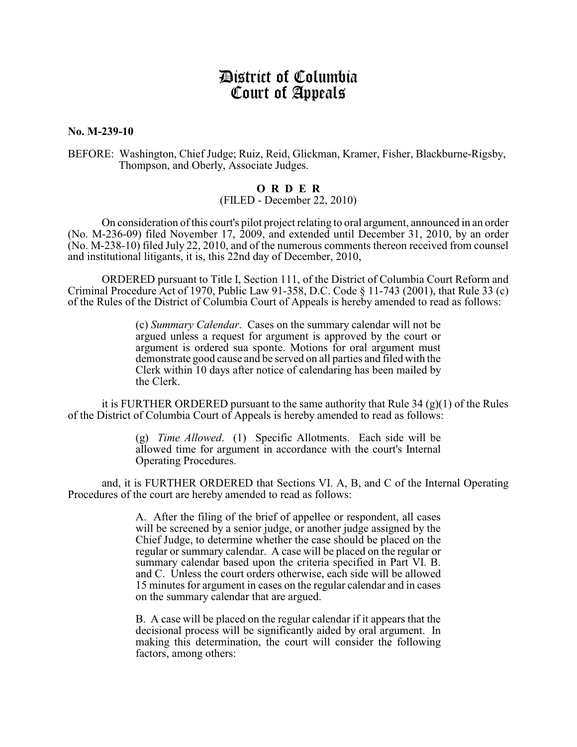# District of Columbia Court of Appeals

**No. M-239-10**

## BEFORE: Washington, Chief Judge; Ruiz, Reid, Glickman, Kramer, Fisher, Blackburne-Rigsby, Thompson, and Oberly, Associate Judges.

### **O R D E R**

#### (FILED - December 22, 2010)

On consideration of this court's pilot project relating to oral argument, announced in an order (No. M-236-09) filed November 17, 2009, and extended until December 31, 2010, by an order (No. M-238-10) filed July 22, 2010, and of the numerous comments thereon received from counsel and institutional litigants, it is, this 22nd day of December, 2010,

ORDERED pursuant to Title I, Section 111, of the District of Columbia Court Reform and Criminal Procedure Act of 1970, Public Law 91-358, D.C. Code § 11-743 (2001), that Rule 33 (c) of the Rules of the District of Columbia Court of Appeals is hereby amended to read as follows:

> (c) *Summary Calendar*. Cases on the summary calendar will not be argued unless a request for argument is approved by the court or argument is ordered sua sponte. Motions for oral argument must demonstrate good cause and be served on all parties and filed with the Clerk within 10 days after notice of calendaring has been mailed by the Clerk.

it is FURTHER ORDERED pursuant to the same authority that Rule 34 (g)(1) of the Rules of the District of Columbia Court of Appeals is hereby amended to read as follows:

> (g) *Time Allowed*. (1) Specific Allotments. Each side will be allowed time for argument in accordance with the court's Internal Operating Procedures.

and, it is FURTHER ORDERED that Sections VI. A, B, and C of the Internal Operating Procedures of the court are hereby amended to read as follows:

> A. After the filing of the brief of appellee or respondent, all cases will be screened by a senior judge, or another judge assigned by the Chief Judge, to determine whether the case should be placed on the regular or summary calendar. A case will be placed on the regular or summary calendar based upon the criteria specified in Part VI. B. and C. Unless the court orders otherwise, each side will be allowed 15 minutes for argument in cases on the regular calendar and in cases on the summary calendar that are argued.

> B. A case will be placed on the regular calendar if it appears that the decisional process will be significantly aided by oral argument. In making this determination, the court will consider the following factors, among others: